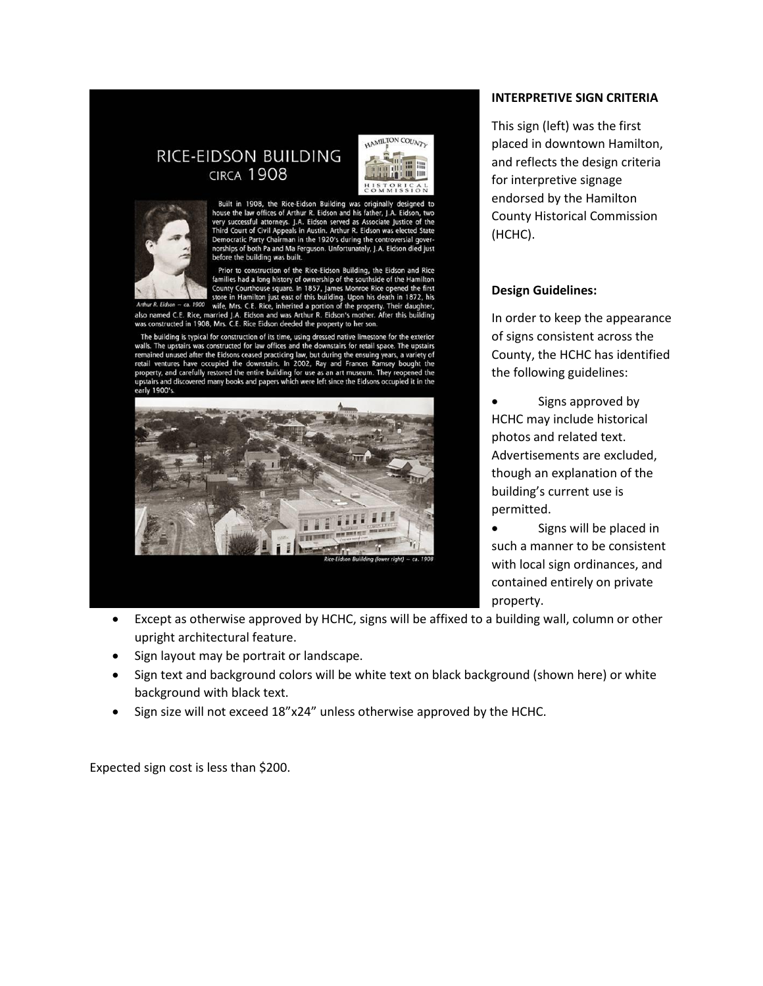## RICE-EIDSON BUILDING **CIRCA 1908**



Built in 1908, the Rice-Eidson Building was originally designed to house the law offices of Arthur R. Eidson and his father, J.A. Eidson, two very successful attorneys. J.A. Eidson served as Associate Justice of the Third The Detector of Contract Party Chairman in the 1920's during the controversial governorships of both Pa and Ma Ferguson. Unfortunately, J.A. Eidson died just before the building was built.

Front the bunding was bundled and Rice Eidson Building, the Eidson and Rice<br>
Prior to construction of the Rice-Eidson Building, the Eidson and Rice<br>
families had a long history of ownership of the southside of the Hamilton

The building is typical for construction of its time, using dressed native limestone for the exterior<br>walls. The upstairs was constructed for law offices and the downstairs for retail space. The upstairs remained unused after the Eidsons ceased practicing law, but during the ensuing years, a variety of retail ventures have occupied the downstairs. In 2002, Ray and Frances Ramsey bought the property, and carefully restored airs and discovered many books and papers which were left since the Eidsons occupied it in the early 1900's.



## **INTERPRETIVE SIGN CRITERIA**

This sign (left) was the first placed in downtown Hamilton, and reflects the design criteria for interpretive signage endorsed by the Hamilton County Historical Commission (HCHC).

## **Design Guidelines:**

In order to keep the appearance of signs consistent across the County, the HCHC has identified the following guidelines:

 Signs approved by HCHC may include historical photos and related text. Advertisements are excluded, though an explanation of the building's current use is permitted.

 Signs will be placed in such a manner to be consistent with local sign ordinances, and contained entirely on private property.

- Except as otherwise approved by HCHC, signs will be affixed to a building wall, column or other upright architectural feature.
- Sign layout may be portrait or landscape.
- Sign text and background colors will be white text on black background (shown here) or white background with black text.
- Sign size will not exceed 18"x24" unless otherwise approved by the HCHC.

Expected sign cost is less than \$200.